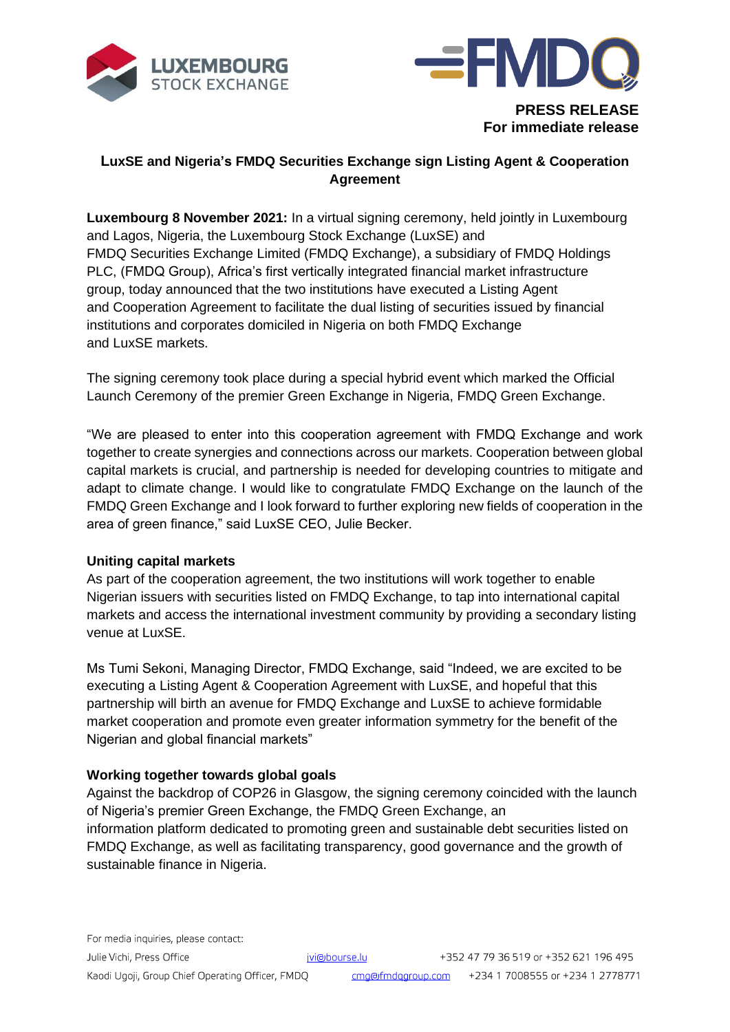



**For immediate release**

# **LuxSE and Nigeria's FMDQ Securities Exchange sign Listing Agent & Cooperation Agreement**

**Luxembourg 8 November 2021:** In a virtual signing ceremony, held jointly in Luxembourg and Lagos, Nigeria, the Luxembourg Stock Exchange (LuxSE) and FMDQ Securities Exchange Limited (FMDQ Exchange), a subsidiary of FMDQ Holdings PLC, (FMDQ Group), Africa's first vertically integrated financial market infrastructure group, today announced that the two institutions have executed a Listing Agent and Cooperation Agreement to facilitate the dual listing of securities issued by financial institutions and corporates domiciled in Nigeria on both FMDQ Exchange and LuxSE markets.

The signing ceremony took place during a special hybrid event which marked the Official Launch Ceremony of the premier Green Exchange in Nigeria, FMDQ Green Exchange.

"We are pleased to enter into this cooperation agreement with FMDQ Exchange and work together to create synergies and connections across our markets. Cooperation between global capital markets is crucial, and partnership is needed for developing countries to mitigate and adapt to climate change. I would like to congratulate FMDQ Exchange on the launch of the FMDQ Green Exchange and I look forward to further exploring new fields of cooperation in the area of green finance," said LuxSE CEO, Julie Becker.

## **Uniting capital markets**

As part of the cooperation agreement, the two institutions will work together to enable Nigerian issuers with securities listed on FMDQ Exchange, to tap into international capital markets and access the international investment community by providing a secondary listing venue at LuxSE.

Ms Tumi Sekoni, Managing Director, FMDQ Exchange, said "Indeed, we are excited to be executing a Listing Agent & Cooperation Agreement with LuxSE, and hopeful that this partnership will birth an avenue for FMDQ Exchange and LuxSE to achieve formidable market cooperation and promote even greater information symmetry for the benefit of the Nigerian and global financial markets"

### **Working together towards global goals**

Against the backdrop of COP26 in Glasgow, the signing ceremony coincided with the launch of Nigeria's premier Green Exchange, the FMDQ Green Exchange, an information platform dedicated to promoting green and sustainable debt securities listed on FMDQ Exchange, as well as facilitating transparency, good governance and the growth of sustainable finance in Nigeria.